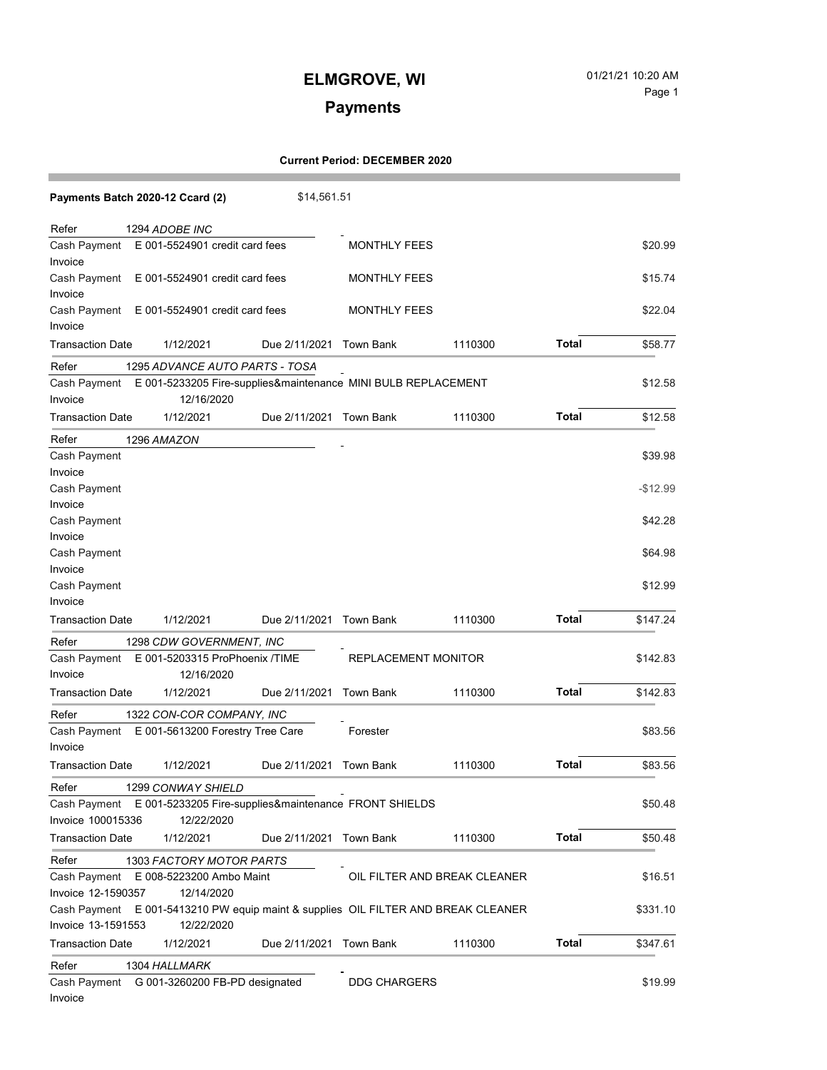a sa kacamatan ing Kabupatèn Kabupatèn Ing

# **Payments**

### **Current Period: DECEMBER 2020**

| \$14,561.51<br>Payments Batch 2020-12 Ccard (2)                                   |                                                               |                            |         |              |             |  |
|-----------------------------------------------------------------------------------|---------------------------------------------------------------|----------------------------|---------|--------------|-------------|--|
| 1294 ADOBE INC<br>Refer                                                           |                                                               |                            |         |              |             |  |
| Cash Payment                                                                      | E 001-5524901 credit card fees                                | <b>MONTHLY FEES</b>        |         |              | \$20.99     |  |
| Invoice                                                                           |                                                               |                            |         |              |             |  |
| Cash Payment                                                                      | $E$ 001-5524901 credit card fees                              |                            |         |              | \$15.74     |  |
| Invoice                                                                           |                                                               |                            |         |              |             |  |
| Cash Payment<br>$E$ 001-5524901 credit card fees                                  |                                                               | <b>MONTHLY FEES</b>        |         |              | \$22.04     |  |
| Invoice                                                                           |                                                               |                            |         |              |             |  |
| <b>Transaction Date</b><br>1/12/2021                                              | Due 2/11/2021 Town Bank                                       |                            | 1110300 | Total        | \$58.77     |  |
| Refer                                                                             | 1295 ADVANCE AUTO PARTS - TOSA                                |                            |         |              |             |  |
| Cash Payment                                                                      | E 001-5233205 Fire-supplies&maintenance MINI BULB REPLACEMENT |                            |         |              | \$12.58     |  |
| Invoice                                                                           | 12/16/2020                                                    |                            |         |              |             |  |
| <b>Transaction Date</b><br>1/12/2021                                              | Due 2/11/2021 Town Bank                                       |                            | 1110300 | Total        | \$12.58     |  |
| 1296 AMAZON<br>Refer                                                              |                                                               |                            |         |              |             |  |
| Cash Payment                                                                      |                                                               |                            |         |              | \$39.98     |  |
| Invoice                                                                           |                                                               |                            |         |              |             |  |
| Cash Payment                                                                      |                                                               |                            |         |              | $-$ \$12.99 |  |
| Invoice                                                                           |                                                               |                            |         |              |             |  |
| Cash Payment                                                                      |                                                               |                            |         |              | \$42.28     |  |
| Invoice                                                                           |                                                               |                            |         |              |             |  |
| Cash Payment                                                                      |                                                               |                            |         |              | \$64.98     |  |
| Invoice                                                                           |                                                               |                            |         |              |             |  |
| Cash Payment                                                                      |                                                               |                            |         |              | \$12.99     |  |
| Invoice                                                                           |                                                               |                            |         |              |             |  |
| <b>Transaction Date</b><br>1/12/2021                                              | Due 2/11/2021 Town Bank                                       |                            | 1110300 | <b>Total</b> | \$147.24    |  |
| Refer<br>1298 CDW GOVERNMENT, INC                                                 |                                                               |                            |         |              |             |  |
| E 001-5203315 ProPhoenix /TIME<br>Cash Payment                                    |                                                               | <b>REPLACEMENT MONITOR</b> |         |              | \$142.83    |  |
| Invoice                                                                           | 12/16/2020                                                    |                            |         |              |             |  |
| <b>Transaction Date</b><br>1/12/2021                                              | Due 2/11/2021                                                 | <b>Town Bank</b>           | 1110300 | <b>Total</b> | \$142.83    |  |
| Refer                                                                             | 1322 CON-COR COMPANY, INC                                     |                            |         |              |             |  |
| Cash Payment                                                                      | E 001-5613200 Forestry Tree Care                              | Forester                   |         |              | \$83.56     |  |
| Invoice                                                                           |                                                               |                            |         |              |             |  |
| <b>Transaction Date</b><br>1/12/2021                                              | Due 2/11/2021                                                 | <b>Town Bank</b>           | 1110300 | Total        | \$83.56     |  |
| 1299 CONWAY SHIELD<br>Refer                                                       |                                                               |                            |         |              |             |  |
| Cash Payment E 001-5233205 Fire-supplies&maintenance FRONT SHIELDS<br>\$50.48     |                                                               |                            |         |              |             |  |
| Invoice 100015336                                                                 | 12/22/2020                                                    |                            |         |              |             |  |
| <b>Transaction Date</b><br>1/12/2021                                              | Due 2/11/2021 Town Bank                                       |                            | 1110300 | <b>Total</b> | \$50.48     |  |
| Refer                                                                             | 1303 FACTORY MOTOR PARTS                                      |                            |         |              |             |  |
| E 008-5223200 Ambo Maint<br>OIL FILTER AND BREAK CLEANER<br>Cash Payment          |                                                               |                            |         | \$16.51      |             |  |
| Invoice 12-1590357<br>12/14/2020                                                  |                                                               |                            |         |              |             |  |
| Cash Payment E 001-5413210 PW equip maint & supplies OIL FILTER AND BREAK CLEANER |                                                               |                            |         |              | \$331.10    |  |
| Invoice 13-1591553                                                                | 12/22/2020                                                    |                            |         |              |             |  |
| <b>Transaction Date</b><br>1/12/2021                                              | Due 2/11/2021                                                 | Town Bank                  | 1110300 | <b>Total</b> | \$347.61    |  |
| Refer<br>1304 HALLMARK                                                            |                                                               |                            |         |              |             |  |
| <b>DDG CHARGERS</b><br>Cash Payment G 001-3260200 FB-PD designated                |                                                               |                            |         | \$19.99      |             |  |
| Invoice                                                                           |                                                               |                            |         |              |             |  |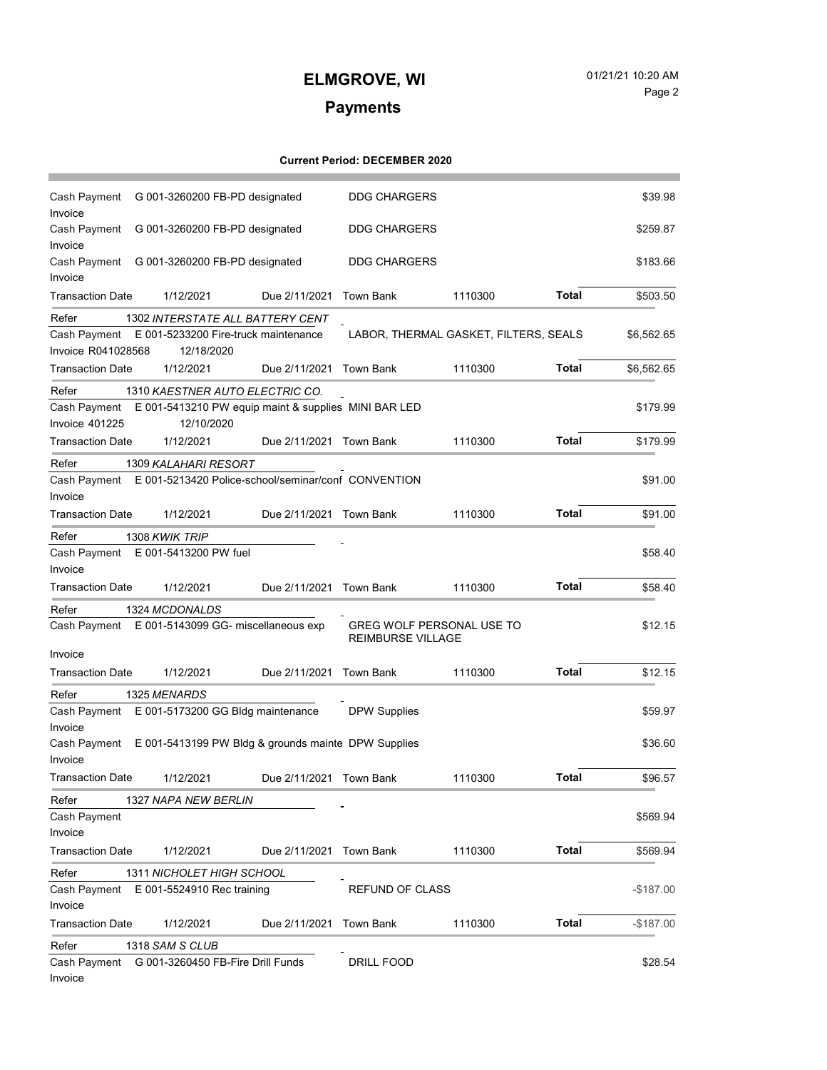## **ELMGROVE, WI** 01/21/21 10:20 AM Page 2

and the state of the state of the state of

# **Payments**

### **Current Period: DECEMBER 2020**

| Cash Payment<br>Invoice                                                               | G 001-3260200 FB-PD designated                                    |                         | <b>DDG CHARGERS</b>      |                                       |              | \$39.98    |
|---------------------------------------------------------------------------------------|-------------------------------------------------------------------|-------------------------|--------------------------|---------------------------------------|--------------|------------|
| Cash Payment<br>Invoice                                                               | G 001-3260200 FB-PD designated                                    |                         | <b>DDG CHARGERS</b>      |                                       |              | \$259.87   |
| Invoice                                                                               | Cash Payment G 001-3260200 FB-PD designated                       |                         | <b>DDG CHARGERS</b>      |                                       |              | \$183.66   |
| <b>Transaction Date</b>                                                               | 1/12/2021                                                         | Due 2/11/2021 Town Bank |                          | 1110300                               | <b>Total</b> | \$503.50   |
| Refer                                                                                 |                                                                   |                         |                          |                                       |              |            |
| 1302 INTERSTATE ALL BATTERY CENT<br>Cash Payment E 001-5233200 Fire-truck maintenance |                                                                   |                         |                          | LABOR, THERMAL GASKET, FILTERS, SEALS |              | \$6,562.65 |
| <b>Invoice R041028568</b>                                                             | 12/18/2020                                                        |                         |                          |                                       |              |            |
| <b>Transaction Date</b>                                                               | 1/12/2021                                                         | Due 2/11/2021           | Town Bank                | 1110300                               | Total        | \$6,562.65 |
| Refer                                                                                 | 1310 KAESTNER AUTO ELECTRIC CO.                                   |                         |                          |                                       |              |            |
|                                                                                       | Cash Payment E 001-5413210 PW equip maint & supplies MINI BAR LED |                         |                          |                                       |              | \$179.99   |
| Invoice 401225                                                                        | 12/10/2020                                                        |                         |                          |                                       |              |            |
| <b>Transaction Date</b>                                                               | 1/12/2021                                                         | Due 2/11/2021 Town Bank |                          | 1110300                               | Total        | \$179.99   |
| Refer                                                                                 | 1309 KALAHARI RESORT                                              |                         |                          |                                       |              |            |
|                                                                                       | Cash Payment E 001-5213420 Police-school/seminar/conf CONVENTION  |                         |                          |                                       |              | \$91.00    |
| Invoice                                                                               |                                                                   |                         |                          |                                       |              |            |
| <b>Transaction Date</b>                                                               | 1/12/2021                                                         | Due 2/11/2021 Town Bank |                          | 1110300                               | Total        | \$91.00    |
| Refer                                                                                 | 1308 KWIK TRIP                                                    |                         |                          |                                       |              |            |
|                                                                                       | Cash Payment E 001-5413200 PW fuel                                |                         |                          |                                       |              | \$58.40    |
| Invoice                                                                               |                                                                   |                         |                          |                                       | <b>Total</b> |            |
| <b>Transaction Date</b>                                                               | 1/12/2021                                                         | Due 2/11/2021 Town Bank |                          | 1110300                               |              | \$58.40    |
| Refer                                                                                 | 1324 MCDONALDS                                                    |                         |                          |                                       |              |            |
|                                                                                       | Cash Payment E 001-5143099 GG- miscellaneous exp                  |                         | <b>REIMBURSE VILLAGE</b> | GREG WOLF PERSONAL USE TO             |              | \$12.15    |
| Invoice                                                                               |                                                                   |                         |                          |                                       |              |            |
| <b>Transaction Date</b>                                                               | 1/12/2021                                                         | Due 2/11/2021 Town Bank |                          | 1110300                               | Total        | \$12.15    |
| Refer                                                                                 | 1325 MENARDS                                                      |                         |                          |                                       |              |            |
| Cash Payment                                                                          | E 001-5173200 GG Bldg maintenance                                 |                         | <b>DPW Supplies</b>      |                                       |              | \$59.97    |
| Invoice                                                                               |                                                                   |                         |                          |                                       |              |            |
| Cash Payment<br>Invoice                                                               | E 001-5413199 PW Bldg & grounds mainte DPW Supplies               |                         |                          |                                       |              | \$36.60    |
| <b>Transaction Date</b>                                                               | 1/12/2021                                                         | Due 2/11/2021 Town Bank |                          | 1110300                               | Total        | \$96.57    |
| Refer                                                                                 | 1327 NAPA NEW BERLIN                                              |                         |                          |                                       |              |            |
| Cash Payment                                                                          |                                                                   |                         |                          |                                       |              | \$569.94   |
| Invoice                                                                               |                                                                   |                         |                          |                                       |              |            |
| <b>Transaction Date</b>                                                               | 1/12/2021                                                         | Due 2/11/2021 Town Bank |                          | 1110300                               | <b>Total</b> | \$569.94   |
| Refer                                                                                 | 1311 NICHOLET HIGH SCHOOL                                         |                         |                          |                                       |              |            |
| Cash Payment<br>E 001-5524910 Rec training                                            |                                                                   | REFUND OF CLASS         |                          |                                       | $-$187.00$   |            |
| Invoice                                                                               |                                                                   |                         |                          |                                       |              |            |
| <b>Transaction Date</b>                                                               | 1/12/2021                                                         | Due 2/11/2021           | <b>Town Bank</b>         | 1110300                               | <b>Total</b> | $-$187.00$ |
| Refer<br>1318 SAM S CLUB                                                              |                                                                   |                         |                          |                                       |              |            |
| G 001-3260450 FB-Fire Drill Funds<br>DRILL FOOD<br>Cash Payment                       |                                                                   |                         |                          |                                       | \$28.54      |            |
| Invoice                                                                               |                                                                   |                         |                          |                                       |              |            |